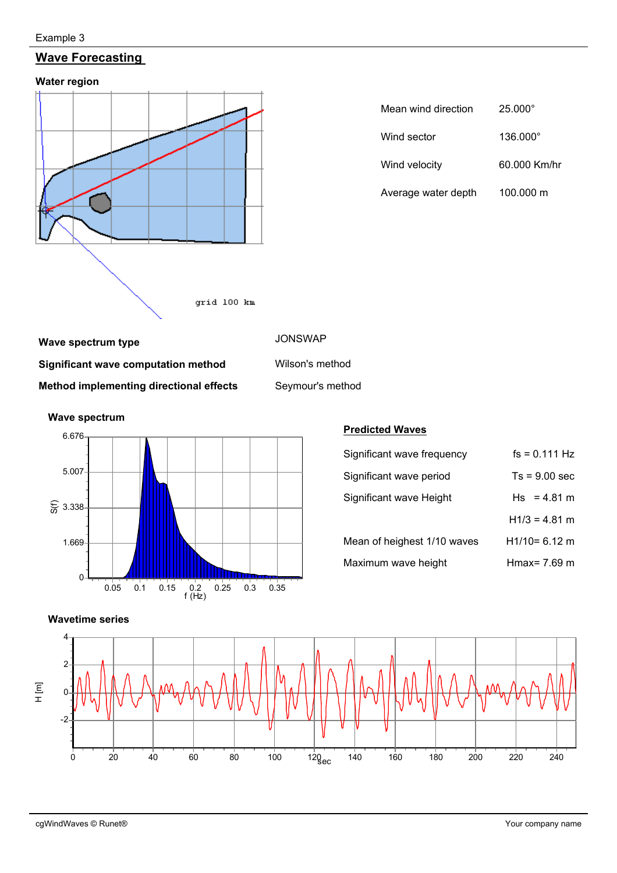#### Example 3

# **Wave Forecasting**

**Water region** 



| Mean wind direction | $25.000^{\circ}$ |  |  |  |
|---------------------|------------------|--|--|--|
| Wind sector         | 136.000°         |  |  |  |
| Wind velocity       | 60.000 Km/hr     |  |  |  |
| Average water depth | 100.000 m        |  |  |  |

## **Wave spectrum type JONSWAP**

**Significant wave computation method** Wilson's method **Method implementing directional effects** Seymour's method



#### **Predicted Waves**

| Significant wave frequency  | $fs = 0.111 Hz$ |
|-----------------------------|-----------------|
| Significant wave period     | $Ts = 9.00$ sec |
| Significant wave Height     | $Hs = 4.81 m$   |
|                             | $H1/3 = 4.81$ m |
| Mean of heighest 1/10 waves | $H1/10=6.12$ m  |
| Maximum wave height         | Hmax= 7.69 m    |



cgWindWaves © Runet® Your company name